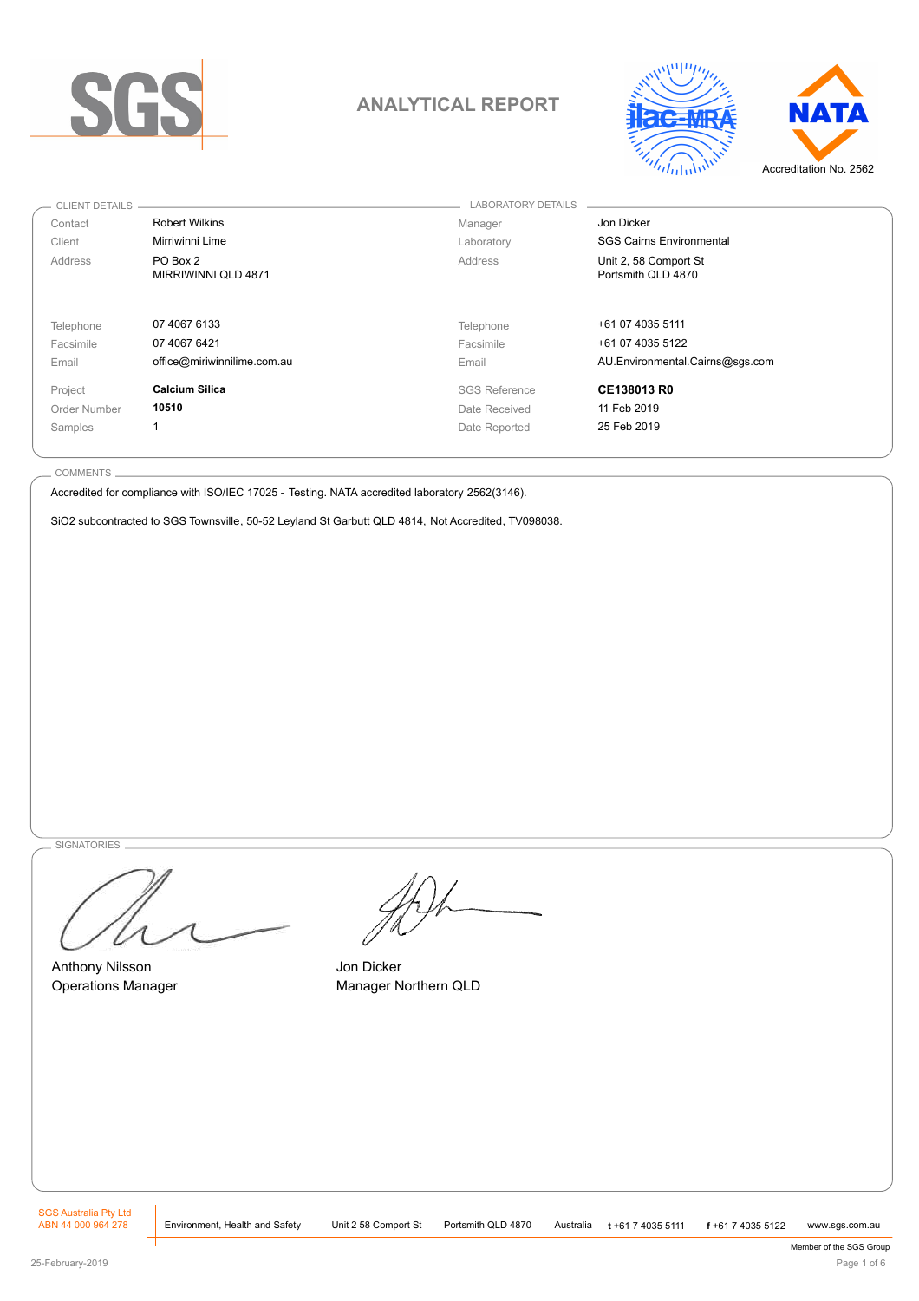

# **ANALYTICAL REPORT**



| CLIENT DETAILS |                                 | <b>LABORATORY DETAILS</b> |                                             |
|----------------|---------------------------------|---------------------------|---------------------------------------------|
| Contact        | <b>Robert Wilkins</b>           | Manager                   | Jon Dicker                                  |
| Client         | Mirriwinni Lime                 | Laboratory                | <b>SGS Cairns Environmental</b>             |
| Address        | PO Box 2<br>MIRRIWINNI QLD 4871 | Address                   | Unit 2, 58 Comport St<br>Portsmith QLD 4870 |
| Telephone      | 07 4067 6133                    | Telephone                 | +61 07 4035 5111                            |
| Facsimile      | 07 4067 6421                    | Facsimile                 | +61 07 4035 5122                            |
| Email          | office@miriwinnilime.com.au     | Email                     | AU.Environmental.Cairns@sqs.com             |
| Project        | <b>Calcium Silica</b>           | <b>SGS Reference</b>      | CE138013 R0                                 |
| Order Number   | 10510                           | Date Received             | 11 Feb 2019                                 |
| Samples        |                                 | Date Reported             | 25 Feb 2019                                 |

COMMENTS

Accredited for compliance with ISO/IEC 17025 - Testing. NATA accredited laboratory 2562(3146).

SiO2 subcontracted to SGS Townsville, 50-52 Leyland St Garbutt QLD 4814, Not Accredited, TV098038.

**SIGNATORIES** 

Anthony Nilsson Operations Manager

Jon Dicker Manager Northern QLD

SGS Australia Pty Ltd<br>ABN 44 000 964 278 Environment, Health and Safety ABN 44 000 964 278

Environment, Health and Safety Unit 2 58 Comport St Portsmith QLD 4870 Australia **<sup>t</sup>** +61 7 4035 5111 **<sup>f</sup>** +61 7 4035 5122 www.sgs.com.au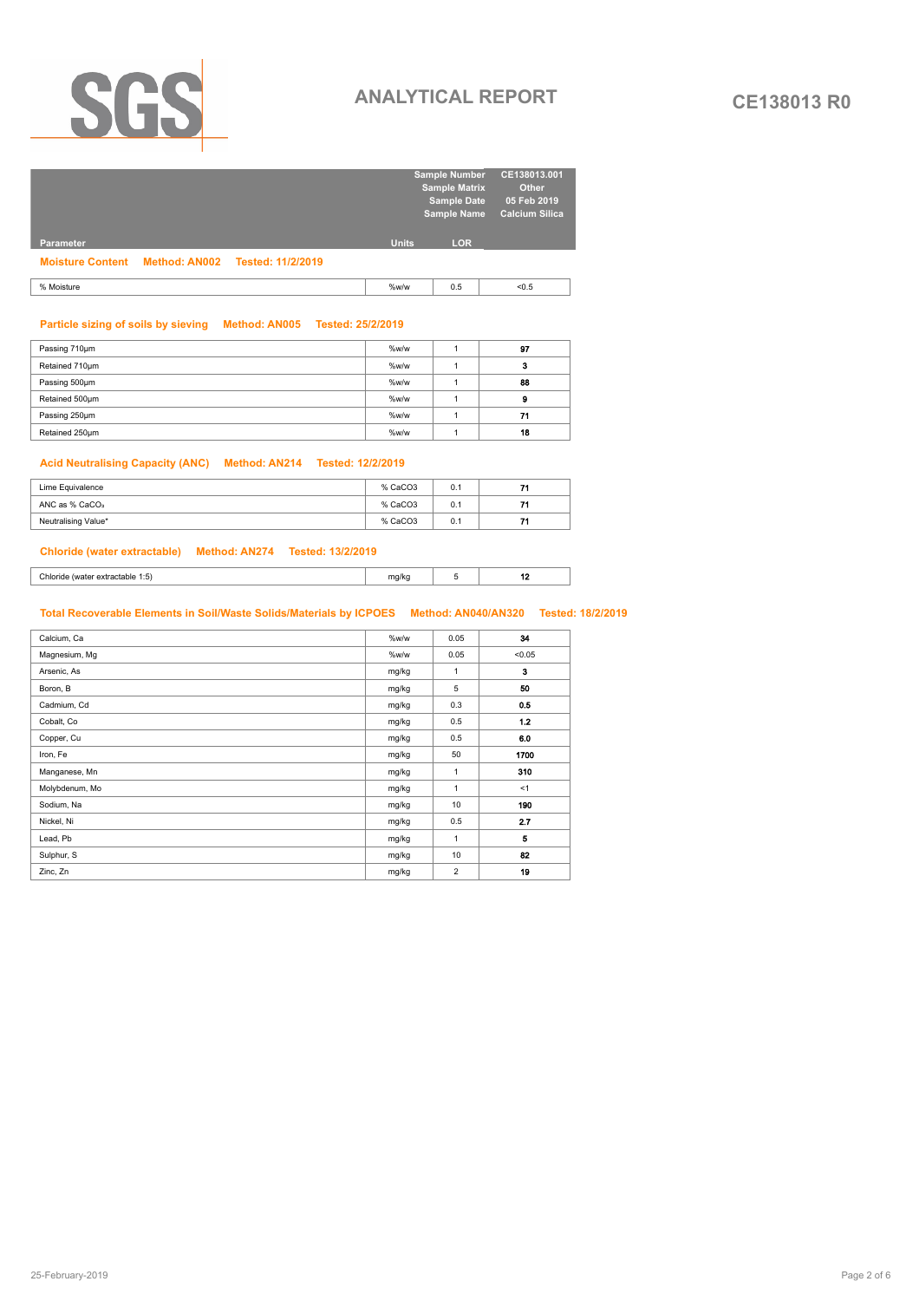

# **ANALYTICAL REPORT CE138013 R0**

|                                                  |              | <b>Sample Number</b><br><b>Sample Matrix</b> | CE138013.001<br><b>Other</b>         |
|--------------------------------------------------|--------------|----------------------------------------------|--------------------------------------|
|                                                  |              | <b>Sample Date</b><br><b>Sample Name</b>     | 05 Feb 2019<br><b>Calcium Silica</b> |
| <b>Parameter</b>                                 | <b>Units</b> | <b>LOR</b>                                   |                                      |
| Moisture Content Method: AN002 Tested: 11/2/2019 |              |                                              |                                      |
| % Moisture                                       | %w/w         | 0.5                                          | < 0.5                                |

### **Particle sizing of soils by sieving Method: AN005 Tested: 25/2/2019**

| Passing 710um  | %w/w | 97 |
|----------------|------|----|
| Retained 710um | %w/w | o  |
| Passing 500um  | %w/w | 88 |
| Retained 500um | %w/w | Ð  |
| Passing 250um  | %w/w | 71 |
| Retained 250um | %w/w | 18 |

# **Acid Neutralising Capacity (ANC) Method: AN214 Tested: 12/2/2019**

| Lime Equivalence           | % CaCO3 | 0.1 |  |
|----------------------------|---------|-----|--|
| ANC as % CaCO <sub>3</sub> | % CaCO3 | 0.1 |  |
| Neutralising Value*        | % CaCO3 | 0.1 |  |

## **Chloride (water extractable) Method: AN274 Tested: 13/2/2019**

| - 34  |  |     |
|-------|--|-----|
| $  -$ |  | . . |

# **Total Recoverable Elements in Soil/Waste Solids/Materials by ICPOES Method: AN040/AN320 Tested: 18/2/2019**

| Calcium, Ca    | %w/w  | 0.05         | 34     |
|----------------|-------|--------------|--------|
| Magnesium, Mg  | %w/w  | 0.05         | < 0.05 |
| Arsenic, As    | mg/kg | $\mathbf{1}$ | 3      |
| Boron, B       | mg/kg | 5            | 50     |
| Cadmium, Cd    | mg/kg | 0.3          | 0.5    |
| Cobalt, Co     | mg/kg | 0.5          | 1.2    |
| Copper, Cu     | mg/kg | 0.5          | 6.0    |
| Iron, Fe       | mg/kg | 50           | 1700   |
| Manganese, Mn  | mg/kg | $\mathbf{1}$ | 310    |
| Molybdenum, Mo | mg/kg | $\mathbf{1}$ | <1     |
| Sodium, Na     | mg/kg | 10           | 190    |
| Nickel, Ni     | mg/kg | 0.5          | 2.7    |
| Lead, Pb       | mg/kg | $\mathbf{1}$ | 5      |
| Sulphur, S     | mg/kg | 10           | 82     |
| Zinc, Zn       | mg/kg | 2            | 19     |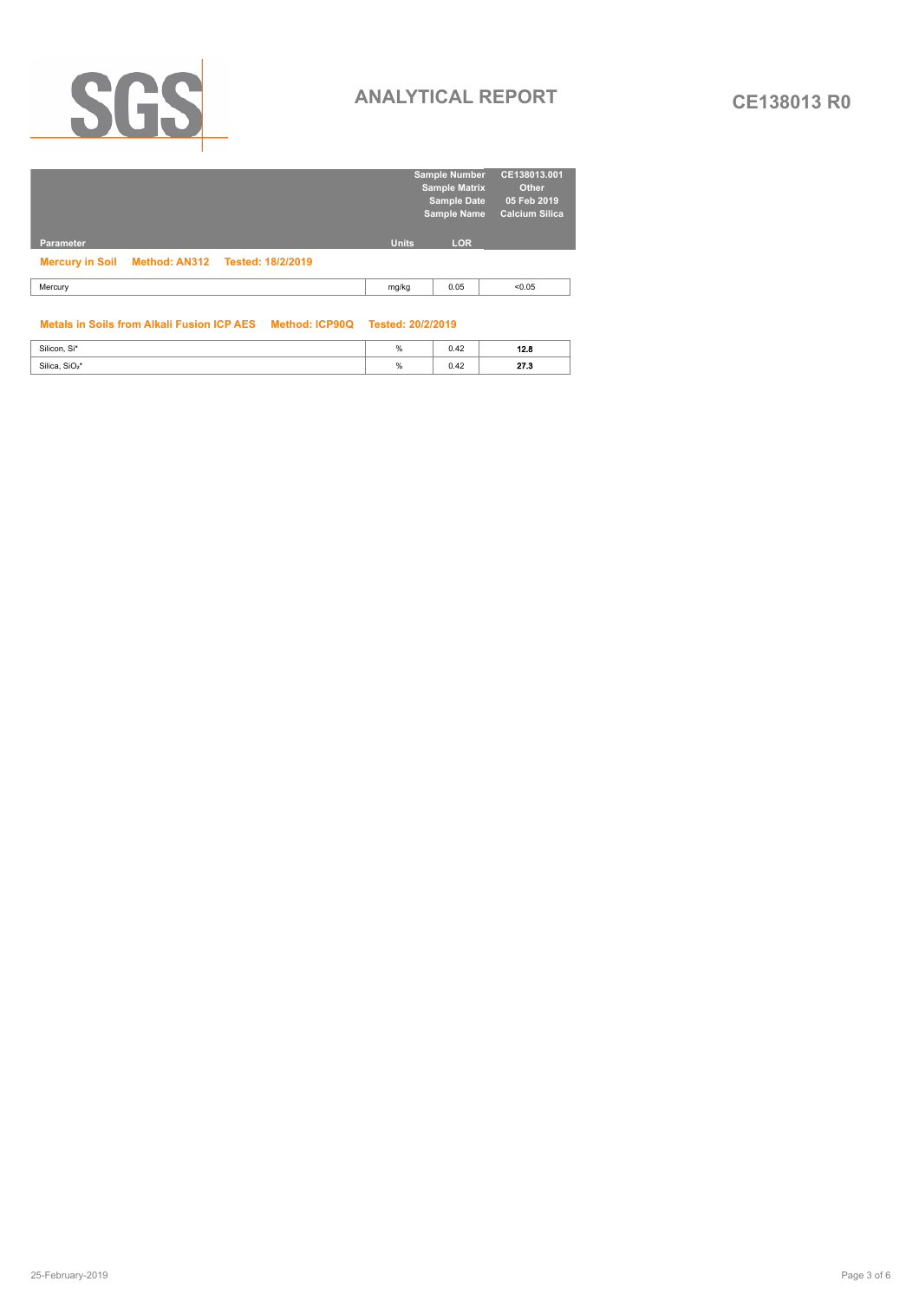

# **ANALYTICAL REPORT CE138013 R0**

|                                                 |              | <b>Sample Number</b><br><b>Sample Matrix</b><br><b>Sample Date</b><br><b>Sample Name</b> | CE138013.001<br>Other<br>05 Feb 2019<br>Calcium Silica |
|-------------------------------------------------|--------------|------------------------------------------------------------------------------------------|--------------------------------------------------------|
| <b>Parameter</b>                                | <b>Units</b> | <b>LOR</b>                                                                               |                                                        |
| Mercury in Soil Method: AN312 Tested: 18/2/2019 |              |                                                                                          |                                                        |
| Mercury                                         | mg/kg        | 0.05                                                                                     | < 0.05                                                 |
|                                                 |              |                                                                                          |                                                        |

# **Metals in Soils from Alkali Fusion ICP AES Method: ICP90Q Tested: 20/2/2019**

| Silicon, Si*               | " | $\sim$<br>U.TZ | 49 C             |
|----------------------------|---|----------------|------------------|
| Silica, SiO <sub>2</sub> * |   | v.42           | - - -<br>- - - - |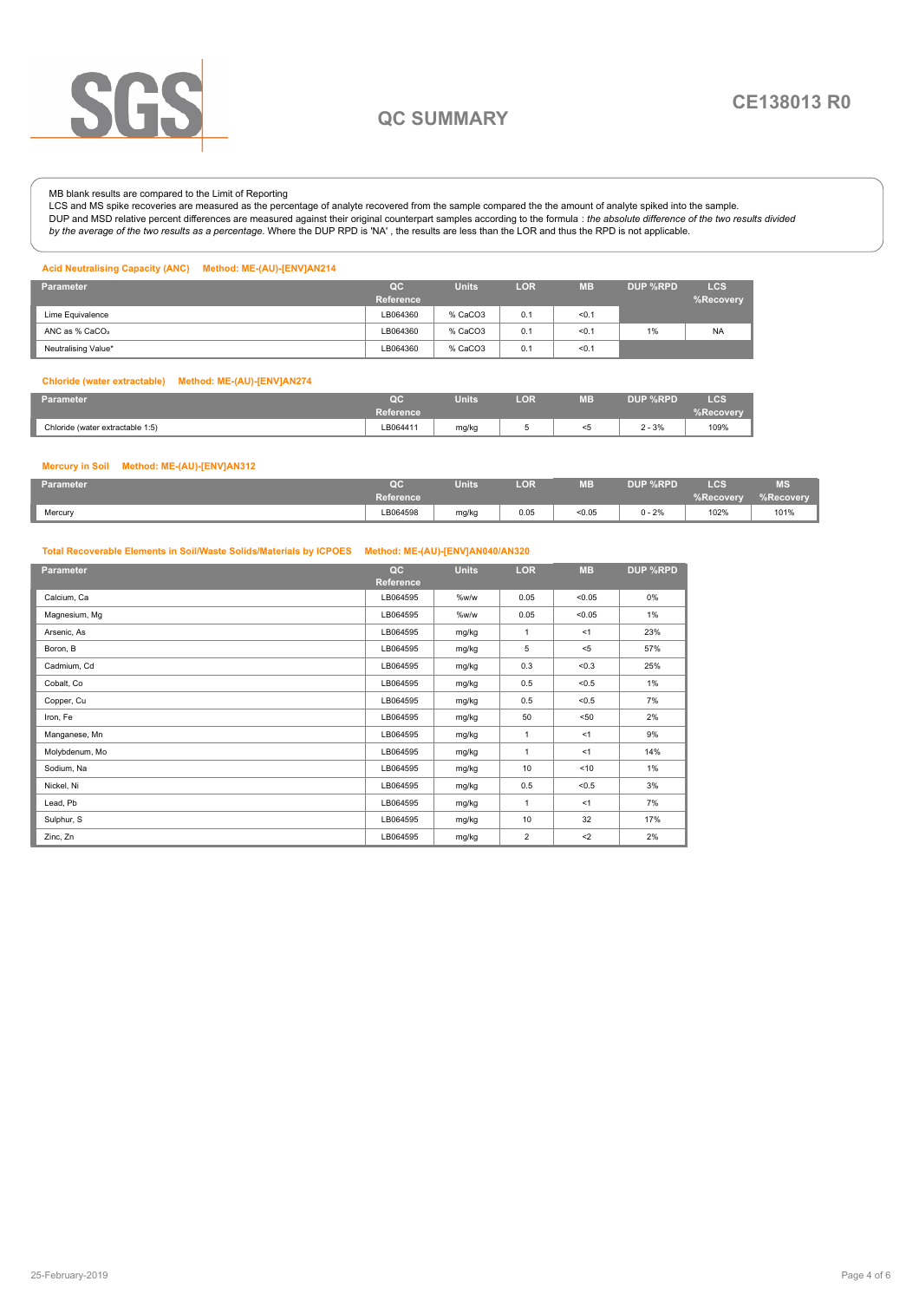

# **QC SUMMARY**

# MB blank results are compared to the Limit of Reporting

LCS and MS spike recoveries are measured as the percentage of analyte recovered from the sample compared the the amount of analyte spiked into the sample. DUP and MSD relative percent differences are measured against their original counterpart samples according to the formula : *the absolute difference of the two results divided by the average of the two results as a percentage.* Where the DUP RPD is 'NA' , the results are less than the LOR and thus the RPD is not applicable.

### **Acid Neutralising Capacity (ANC) Method: ME-(AU)-[ENV]AN214**

| <b>Parameter</b>           | OC<br>Reference | <b>Units</b> | <b>LOR</b> | <b>MB</b> | DUP %RPD | <b>LCS</b><br>%Recovery |
|----------------------------|-----------------|--------------|------------|-----------|----------|-------------------------|
| Lime Equivalence           | LB064360        | % CaCO3      | 0.1        | 50.1      |          |                         |
| ANC as % CaCO <sub>3</sub> | LB064360        | % CaCO3      | 0.1        | < 0.1     | 1%       | <b>NA</b>               |
| Neutralising Value*        | LB064360        | % CaCO3      | 0.1        | < 0.1     |          |                         |

### **Chloride (water extractable) Method: ME-(AU)-[ENV]AN274**

| Parameter                        | $\sim$<br>- 5                                                                                                               | <b>Units</b> | LOR | <b>ME</b><br>W = | <b>DUP %RPD</b> | $_{\text{LCS}}$          |
|----------------------------------|-----------------------------------------------------------------------------------------------------------------------------|--------------|-----|------------------|-----------------|--------------------------|
|                                  | <b>Reference</b>                                                                                                            |              |     |                  |                 | <b><i>⁄</i>。Recovery</b> |
| Chloride (water extractable 1:5) | LB064411<br>the contract of the contract of the contract of the contract of the contract of the contract of the contract of | mg/kg        | ັ   |                  | $2 - 3%$<br>.   | 109%                     |

### **Mercury in Soil Method: ME-(AU)-[ENV]AN312**

| Parameter | bc.              | <b>Units</b> | LOR <sup>'</sup> | <b>MB</b> | DUP %RPD | LCS       | <b>MS</b> |
|-----------|------------------|--------------|------------------|-----------|----------|-----------|-----------|
|           | <b>Reference</b> |              |                  |           |          | %Recovery | %Recovery |
| Mercury   | LB064598         | mg/kg        | 0.05             | < 0.05    | $0 - 2%$ | 102%      | 101%      |

# **Total Recoverable Elements in Soil/Waste Solids/Materials by ICPOES Method: ME-(AU)-[ENV]AN040/AN320**

| <b>Parameter</b> | QC        | <b>Units</b> | <b>LOR</b>     | <b>MB</b> | DUP %RPD |
|------------------|-----------|--------------|----------------|-----------|----------|
|                  | Reference |              |                |           |          |
| Calcium, Ca      | LB064595  | %w/w         | 0.05           | < 0.05    | 0%       |
| Magnesium, Mg    | LB064595  | %w/w         | 0.05           | < 0.05    | 1%       |
| Arsenic, As      | LB064595  | mg/kg        | $\overline{1}$ | <1        | 23%      |
| Boron, B         | LB064595  | mg/kg        | 5              | $<$ 5     | 57%      |
| Cadmium, Cd      | LB064595  | mg/kg        | 0.3            | < 0.3     | 25%      |
| Cobalt, Co       | LB064595  | mg/kg        | 0.5            | < 0.5     | 1%       |
| Copper, Cu       | LB064595  | mg/kg        | 0.5            | < 0.5     | 7%       |
| Iron, Fe         | LB064595  | mg/kg        | 50             | $50$      | 2%       |
| Manganese, Mn    | LB064595  | mg/kg        | $\overline{1}$ | <1        | 9%       |
| Molybdenum, Mo   | LB064595  | mg/kg        | $\overline{1}$ | <1        | 14%      |
| Sodium, Na       | LB064595  | mg/kg        | 10             | < 10      | 1%       |
| Nickel, Ni       | LB064595  | mg/kg        | 0.5            | < 0.5     | 3%       |
| Lead, Pb         | LB064595  | mg/kg        | $\overline{1}$ | <1        | 7%       |
| Sulphur, S       | LB064595  | mg/kg        | 10             | 32        | 17%      |
| Zinc, Zn         | LB064595  | mg/kg        | $\overline{2}$ | $2$       | 2%       |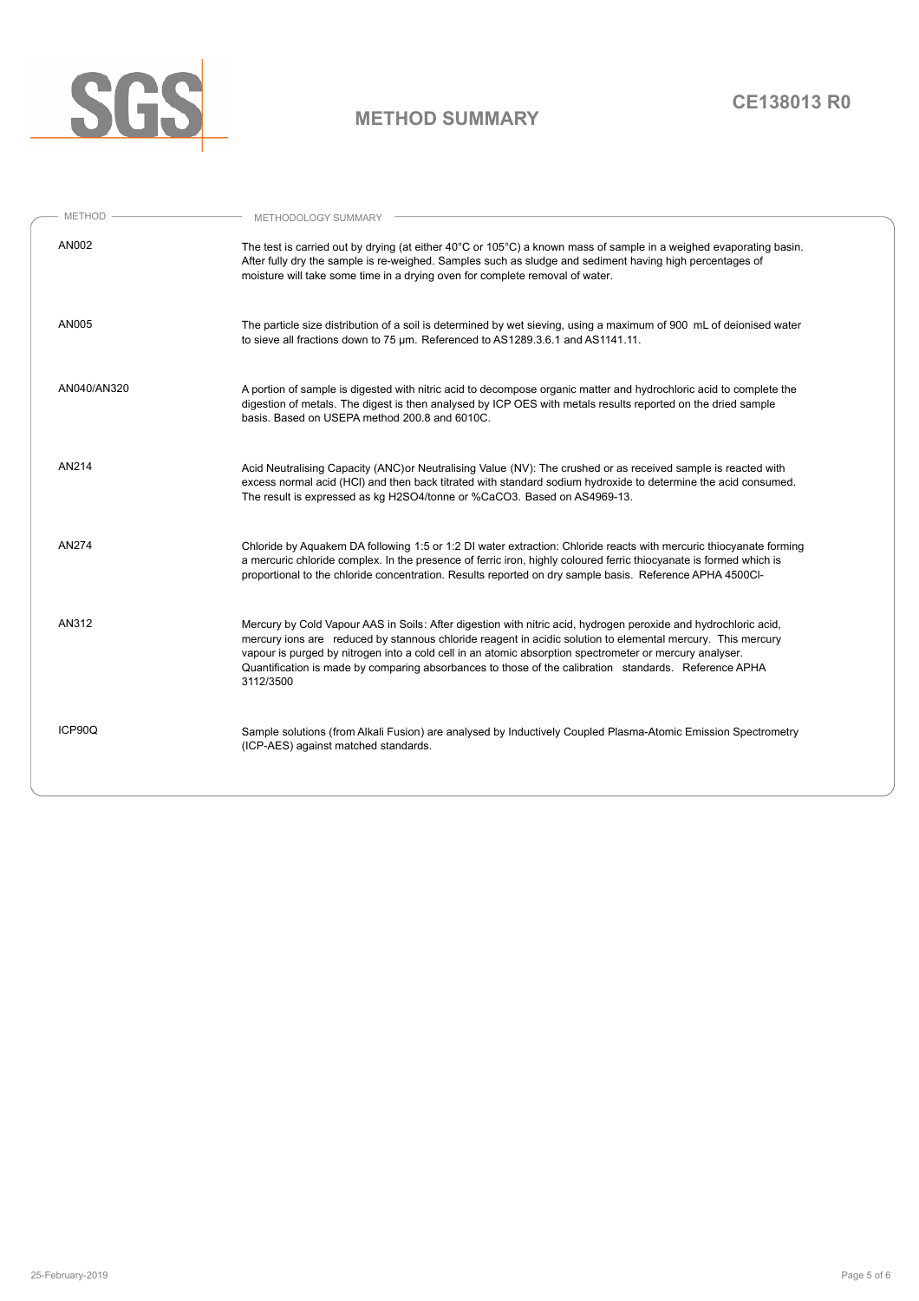

# **METHOD SUMMARY**

| $-$ METHOD $-$ | METHODOLOGY SUMMARY                                                                                                                                                                                                                                                                                                                                                                                                                                             |
|----------------|-----------------------------------------------------------------------------------------------------------------------------------------------------------------------------------------------------------------------------------------------------------------------------------------------------------------------------------------------------------------------------------------------------------------------------------------------------------------|
| AN002          | The test is carried out by drying (at either 40°C or 105°C) a known mass of sample in a weighed evaporating basin.<br>After fully dry the sample is re-weighed. Samples such as sludge and sediment having high percentages of<br>moisture will take some time in a drying oven for complete removal of water.                                                                                                                                                  |
| AN005          | The particle size distribution of a soil is determined by wet sieving, using a maximum of 900 mL of deionised water<br>to sieve all fractions down to 75 um. Referenced to AS1289.3.6.1 and AS1141.11.                                                                                                                                                                                                                                                          |
| AN040/AN320    | A portion of sample is digested with nitric acid to decompose organic matter and hydrochloric acid to complete the<br>digestion of metals. The digest is then analysed by ICP OES with metals results reported on the dried sample<br>basis. Based on USEPA method 200.8 and 6010C.                                                                                                                                                                             |
| AN214          | Acid Neutralising Capacity (ANC) or Neutralising Value (NV): The crushed or as received sample is reacted with<br>excess normal acid (HCl) and then back titrated with standard sodium hydroxide to determine the acid consumed.<br>The result is expressed as kg H2SO4/tonne or %CaCO3. Based on AS4969-13.                                                                                                                                                    |
| AN274          | Chloride by Aquakem DA following 1:5 or 1:2 DI water extraction: Chloride reacts with mercuric thiocyanate forming<br>a mercuric chloride complex. In the presence of ferric iron, highly coloured ferric thiocyanate is formed which is<br>proportional to the chloride concentration. Results reported on dry sample basis. Reference APHA 4500Cl-                                                                                                            |
| AN312          | Mercury by Cold Vapour AAS in Soils: After digestion with nitric acid, hydrogen peroxide and hydrochloric acid,<br>mercury ions are reduced by stannous chloride reagent in acidic solution to elemental mercury. This mercury<br>vapour is purged by nitrogen into a cold cell in an atomic absorption spectrometer or mercury analyser.<br>Quantification is made by comparing absorbances to those of the calibration standards. Reference APHA<br>3112/3500 |
| ICP90Q         | Sample solutions (from Alkali Fusion) are analysed by Inductively Coupled Plasma-Atomic Emission Spectrometry<br>(ICP-AES) against matched standards.                                                                                                                                                                                                                                                                                                           |